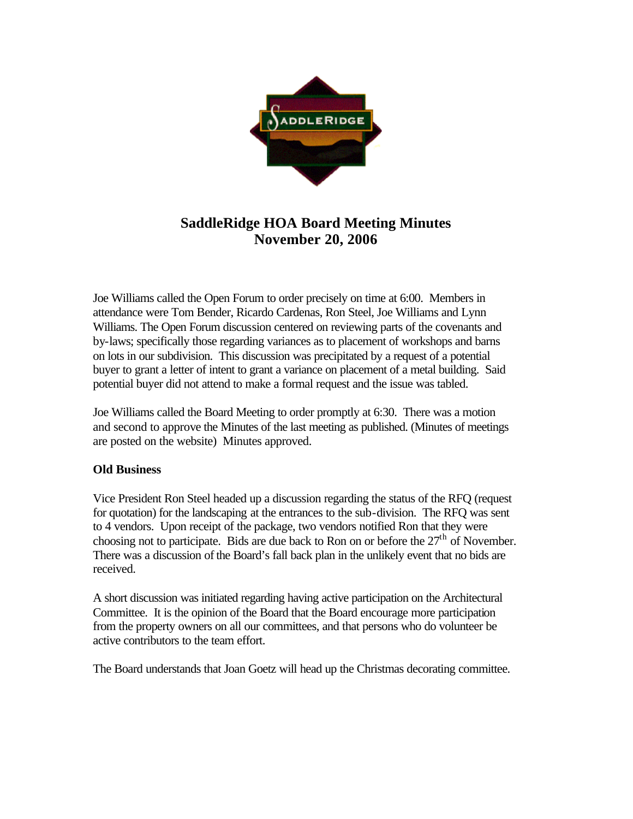

## **SaddleRidge HOA Board Meeting Minutes November 20, 2006**

Joe Williams called the Open Forum to order precisely on time at 6:00. Members in attendance were Tom Bender, Ricardo Cardenas, Ron Steel, Joe Williams and Lynn Williams. The Open Forum discussion centered on reviewing parts of the covenants and by-laws; specifically those regarding variances as to placement of workshops and barns on lots in our subdivision. This discussion was precipitated by a request of a potential buyer to grant a letter of intent to grant a variance on placement of a metal building. Said potential buyer did not attend to make a formal request and the issue was tabled.

Joe Williams called the Board Meeting to order promptly at 6:30. There was a motion and second to approve the Minutes of the last meeting as published. (Minutes of meetings are posted on the website) Minutes approved.

## **Old Business**

Vice President Ron Steel headed up a discussion regarding the status of the RFQ (request for quotation) for the landscaping at the entrances to the sub-division. The RFQ was sent to 4 vendors. Upon receipt of the package, two vendors notified Ron that they were choosing not to participate. Bids are due back to Ron on or before the  $27<sup>th</sup>$  of November. There was a discussion of the Board's fall back plan in the unlikely event that no bids are received.

A short discussion was initiated regarding having active participation on the Architectural Committee. It is the opinion of the Board that the Board encourage more participation from the property owners on all our committees, and that persons who do volunteer be active contributors to the team effort.

The Board understands that Joan Goetz will head up the Christmas decorating committee.